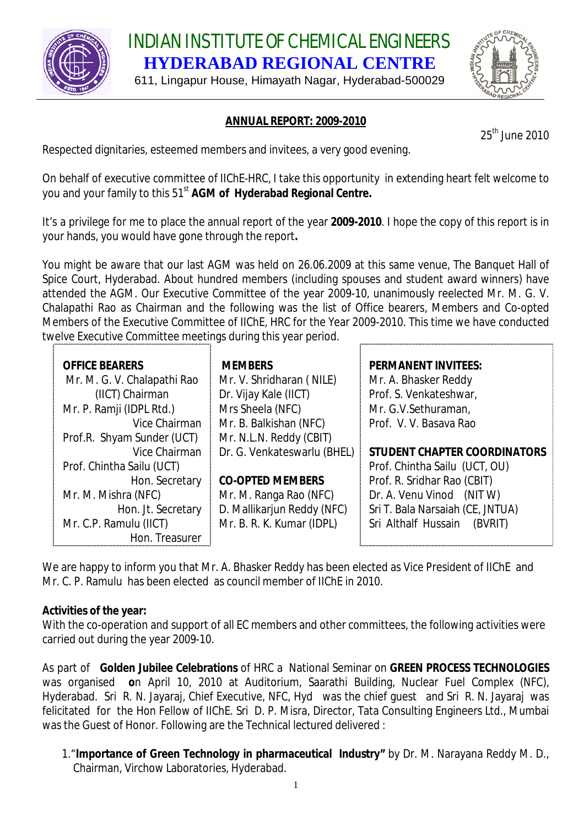

INDIAN INSTITUTE OF CHEMICAL ENGINEERS **HYDERABAD REGIONAL CENTRE**

611, Lingapur House, Himayath Nagar, Hyderabad-500029



# **ANNUAL REPORT: 2009-2010**

25<sup>th</sup> June 2010

Respected dignitaries, esteemed members and invitees, a very good evening.

On behalf of executive committee of IIChE-HRC, I take this opportunity in extending heart felt welcome to you and your family to this 51<sup>st</sup> **AGM of Hyderabad Regional Centre.** 

It's a privilege for me to place the annual report of the year **2009-2010**. I hope the copy of this report is in your hands, you would have gone through the report**.** 

You might be aware that our last AGM was held on 26.06.2009 at this same venue, The Banquet Hall of Spice Court, Hyderabad. About hundred members (including spouses and student award winners) have attended the AGM. Our Executive Committee of the year 2009-10, unanimously reelected Mr. M. G. V. Chalapathi Rao as Chairman and the following was the list of Office bearers, Members and Co-opted Members of the Executive Committee of IIChE, HRC for the Year 2009-2010. This time we have conducted twelve Executive Committee meetings during this year period.

| <b>OFFICE BEARERS</b>       | <b>MEMBERS</b>              | <b>PERMANENT INVITEES:</b>       |
|-----------------------------|-----------------------------|----------------------------------|
| Mr. M. G. V. Chalapathi Rao | Mr. V. Shridharan (NILE)    | Mr. A. Bhasker Reddy             |
| (IICT) Chairman             | Dr. Vijay Kale (IICT)       | Prof. S. Venkateshwar,           |
| Mr. P. Ramji (IDPL Rtd.)    | Mrs Sheela (NFC)            | Mr. G.V.Sethuraman,              |
| Vice Chairman               | Mr. B. Balkishan (NFC)      | Prof. V. V. Basava Rao           |
| Prof.R. Shyam Sunder (UCT)  | Mr. N.L.N. Reddy (CBIT)     |                                  |
| Vice Chairman               | Dr. G. Venkateswarlu (BHEL) | STUDENT CHAPTER COORDINATORS     |
| Prof. Chintha Sailu (UCT)   |                             | Prof. Chintha Sailu (UCT, OU)    |
| Hon. Secretary              | <b>CO-OPTED MEMBERS</b>     | Prof. R. Sridhar Rao (CBIT)      |
| Mr. M. Mishra (NFC)         | Mr. M. Ranga Rao (NFC)      | Dr. A. Venu Vinod (NIT W)        |
| Hon. Jt. Secretary          | D. Mallikarjun Reddy (NFC)  | Sri T. Bala Narsaiah (CE, JNTUA) |
| Mr. C.P. Ramulu (IICT)      | Mr. B. R. K. Kumar (IDPL)   | Sri Althalf Hussain<br>(BVRIT)   |
| Hon. Treasurer              |                             |                                  |

We are happy to inform you that Mr. A. Bhasker Reddy has been elected as Vice President of IIChE and Mr. C. P. Ramulu has been elected as council member of IIChE in 2010.

## **Activities of the year:**

With the co-operation and support of all EC members and other committees, the following activities were carried out during the year 2009-10.

As part of **Golden Jubilee Celebrations** of HRC a National Seminar on **GREEN PROCESS TECHNOLOGIES**  was organised **o**n April 10, 2010 at Auditorium, Saarathi Building, Nuclear Fuel Complex (NFC), Hyderabad. Sri R. N. Jayaraj, Chief Executive, NFC, Hyd was the chief guest and Sri R. N. Jayaraj was felicitated for the Hon Fellow of IIChE. Sri D. P. Misra, Director, Tata Consulting Engineers Ltd., Mumbai was the Guest of Honor. Following are the Technical lectured delivered :

#### 1."**Importance of Green Technology in pharmaceutical Industry"** by Dr. M. Narayana Reddy M. D., Chairman, Virchow Laboratories, Hyderabad.